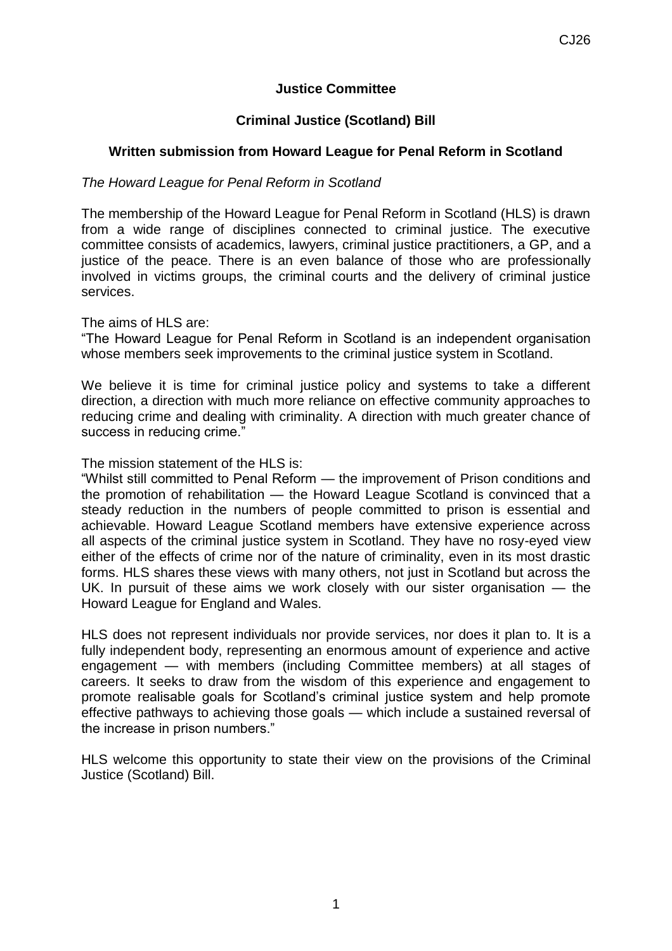## **Justice Committee**

# **Criminal Justice (Scotland) Bill**

## **Written submission from Howard League for Penal Reform in Scotland**

## *The Howard League for Penal Reform in Scotland*

The membership of the Howard League for Penal Reform in Scotland (HLS) is drawn from a wide range of disciplines connected to criminal justice. The executive committee consists of academics, lawyers, criminal justice practitioners, a GP, and a justice of the peace. There is an even balance of those who are professionally involved in victims groups, the criminal courts and the delivery of criminal justice services.

The aims of HLS are:

"The Howard League for Penal Reform in Scotland is an independent organisation whose members seek improvements to the criminal justice system in Scotland.

We believe it is time for criminal justice policy and systems to take a different direction, a direction with much more reliance on effective community approaches to reducing crime and dealing with criminality. A direction with much greater chance of success in reducing crime."

The mission statement of the HLS is:

"Whilst still committed to Penal Reform — the improvement of Prison conditions and the promotion of rehabilitation — the Howard League Scotland is convinced that a steady reduction in the numbers of people committed to prison is essential and achievable. Howard League Scotland members have extensive experience across all aspects of the criminal justice system in Scotland. They have no rosy-eyed view either of the effects of crime nor of the nature of criminality, even in its most drastic forms. HLS shares these views with many others, not just in Scotland but across the UK. In pursuit of these aims we work closely with our sister organisation — the Howard League for England and Wales.

HLS does not represent individuals nor provide services, nor does it plan to. It is a fully independent body, representing an enormous amount of experience and active engagement — with members (including Committee members) at all stages of careers. It seeks to draw from the wisdom of this experience and engagement to promote realisable goals for Scotland's criminal justice system and help promote effective pathways to achieving those goals — which include a sustained reversal of the increase in prison numbers."

HLS welcome this opportunity to state their view on the provisions of the Criminal Justice (Scotland) Bill.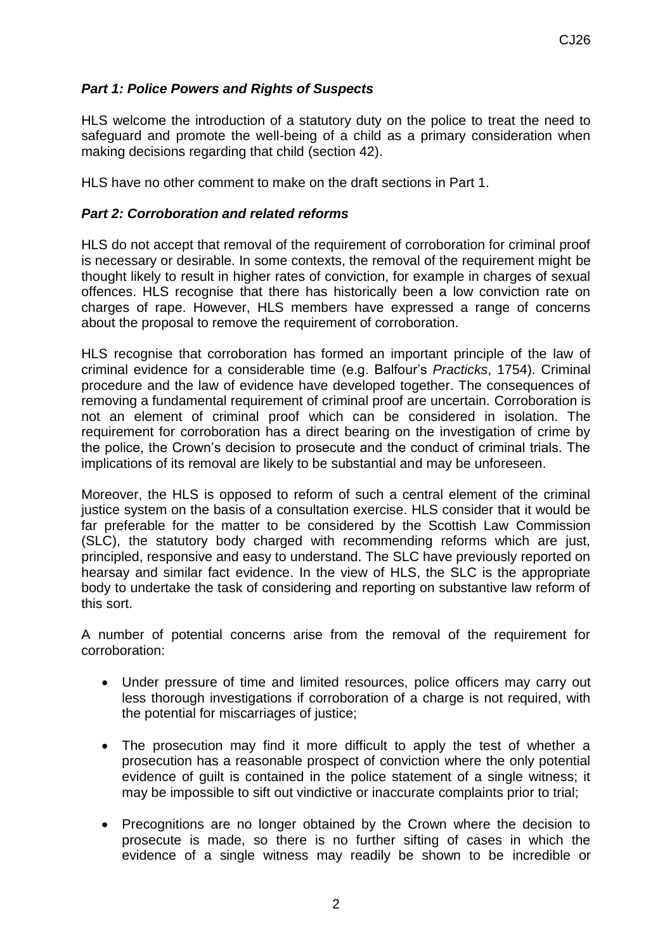# *Part 1: Police Powers and Rights of Suspects*

HLS welcome the introduction of a statutory duty on the police to treat the need to safeguard and promote the well-being of a child as a primary consideration when making decisions regarding that child (section 42).

HLS have no other comment to make on the draft sections in Part 1.

### *Part 2: Corroboration and related reforms*

HLS do not accept that removal of the requirement of corroboration for criminal proof is necessary or desirable. In some contexts, the removal of the requirement might be thought likely to result in higher rates of conviction, for example in charges of sexual offences. HLS recognise that there has historically been a low conviction rate on charges of rape. However, HLS members have expressed a range of concerns about the proposal to remove the requirement of corroboration.

HLS recognise that corroboration has formed an important principle of the law of criminal evidence for a considerable time (e.g. Balfour's *Practicks*, 1754). Criminal procedure and the law of evidence have developed together. The consequences of removing a fundamental requirement of criminal proof are uncertain. Corroboration is not an element of criminal proof which can be considered in isolation. The requirement for corroboration has a direct bearing on the investigation of crime by the police, the Crown's decision to prosecute and the conduct of criminal trials. The implications of its removal are likely to be substantial and may be unforeseen.

Moreover, the HLS is opposed to reform of such a central element of the criminal justice system on the basis of a consultation exercise. HLS consider that it would be far preferable for the matter to be considered by the Scottish Law Commission (SLC), the statutory body charged with recommending reforms which are just, principled, responsive and easy to understand. The SLC have previously reported on hearsay and similar fact evidence. In the view of HLS, the SLC is the appropriate body to undertake the task of considering and reporting on substantive law reform of this sort.

A number of potential concerns arise from the removal of the requirement for corroboration:

- Under pressure of time and limited resources, police officers may carry out less thorough investigations if corroboration of a charge is not required, with the potential for miscarriages of justice;
- The prosecution may find it more difficult to apply the test of whether a prosecution has a reasonable prospect of conviction where the only potential evidence of guilt is contained in the police statement of a single witness; it may be impossible to sift out vindictive or inaccurate complaints prior to trial;
- Precognitions are no longer obtained by the Crown where the decision to prosecute is made, so there is no further sifting of cases in which the evidence of a single witness may readily be shown to be incredible or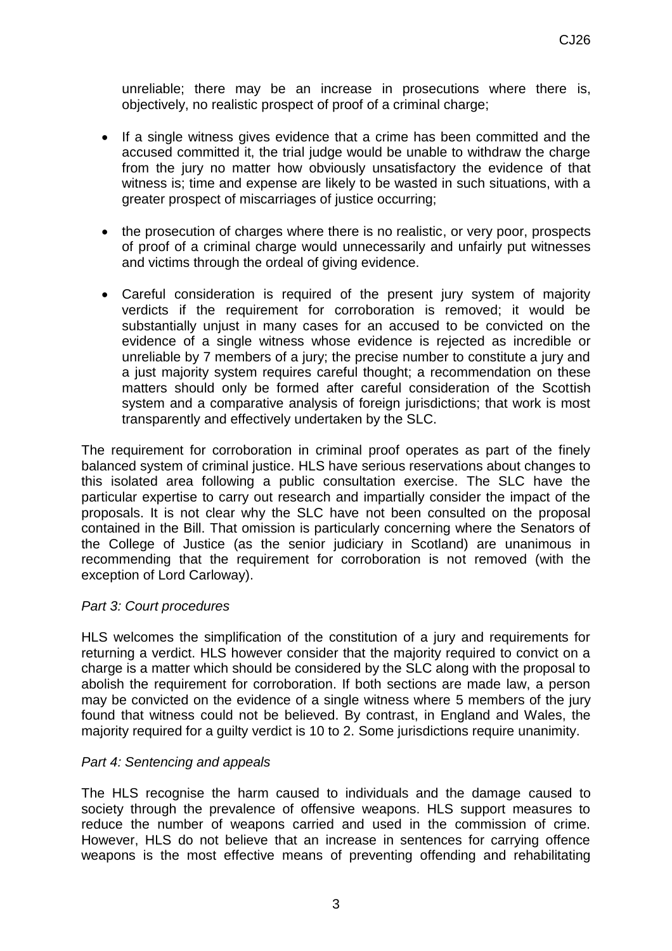unreliable; there may be an increase in prosecutions where there is, objectively, no realistic prospect of proof of a criminal charge;

- If a single witness gives evidence that a crime has been committed and the accused committed it, the trial judge would be unable to withdraw the charge from the jury no matter how obviously unsatisfactory the evidence of that witness is; time and expense are likely to be wasted in such situations, with a greater prospect of miscarriages of justice occurring;
- the prosecution of charges where there is no realistic, or very poor, prospects of proof of a criminal charge would unnecessarily and unfairly put witnesses and victims through the ordeal of giving evidence.
- Careful consideration is required of the present jury system of majority verdicts if the requirement for corroboration is removed; it would be substantially unjust in many cases for an accused to be convicted on the evidence of a single witness whose evidence is rejected as incredible or unreliable by 7 members of a jury; the precise number to constitute a jury and a just majority system requires careful thought; a recommendation on these matters should only be formed after careful consideration of the Scottish system and a comparative analysis of foreign jurisdictions; that work is most transparently and effectively undertaken by the SLC.

The requirement for corroboration in criminal proof operates as part of the finely balanced system of criminal justice. HLS have serious reservations about changes to this isolated area following a public consultation exercise. The SLC have the particular expertise to carry out research and impartially consider the impact of the proposals. It is not clear why the SLC have not been consulted on the proposal contained in the Bill. That omission is particularly concerning where the Senators of the College of Justice (as the senior judiciary in Scotland) are unanimous in recommending that the requirement for corroboration is not removed (with the exception of Lord Carloway).

#### *Part 3: Court procedures*

HLS welcomes the simplification of the constitution of a jury and requirements for returning a verdict. HLS however consider that the majority required to convict on a charge is a matter which should be considered by the SLC along with the proposal to abolish the requirement for corroboration. If both sections are made law, a person may be convicted on the evidence of a single witness where 5 members of the jury found that witness could not be believed. By contrast, in England and Wales, the majority required for a guilty verdict is 10 to 2. Some jurisdictions require unanimity.

#### *Part 4: Sentencing and appeals*

The HLS recognise the harm caused to individuals and the damage caused to society through the prevalence of offensive weapons. HLS support measures to reduce the number of weapons carried and used in the commission of crime. However, HLS do not believe that an increase in sentences for carrying offence weapons is the most effective means of preventing offending and rehabilitating